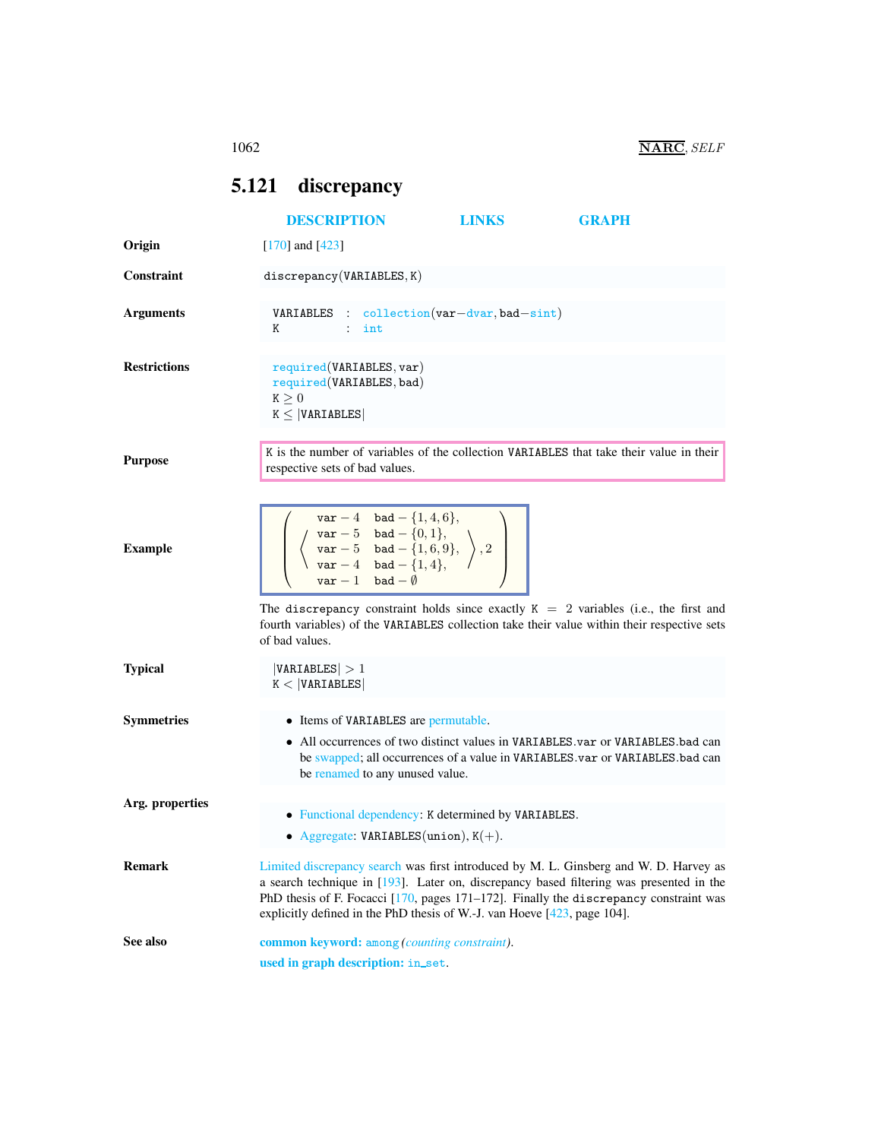# <span id="page-0-0"></span>5.121 discrepancy

<span id="page-0-1"></span>

|                     | <b>DESCRIPTION</b>                                                                                                                                                                                    | <b>LINKS</b> | <b>GRAPH</b>                                                                                                                                                                                                                                                                 |  |  |  |  |  |
|---------------------|-------------------------------------------------------------------------------------------------------------------------------------------------------------------------------------------------------|--------------|------------------------------------------------------------------------------------------------------------------------------------------------------------------------------------------------------------------------------------------------------------------------------|--|--|--|--|--|
| Origin              | $[170]$ and $[423]$                                                                                                                                                                                   |              |                                                                                                                                                                                                                                                                              |  |  |  |  |  |
| Constraint          | discrepancy(VARIABLES, K)                                                                                                                                                                             |              |                                                                                                                                                                                                                                                                              |  |  |  |  |  |
| <b>Arguments</b>    | <b>VARIABLES</b> : collection( $var-dvar$ , bad-sint)<br>Κ<br>$:$ int                                                                                                                                 |              |                                                                                                                                                                                                                                                                              |  |  |  |  |  |
| <b>Restrictions</b> | required(VARIABLES, var)<br>required (VARIABLES, bad)<br>$\mathtt{K}\geq 0$<br>$K \leq  VARIABLES $                                                                                                   |              |                                                                                                                                                                                                                                                                              |  |  |  |  |  |
| <b>Purpose</b>      | respective sets of bad values.                                                                                                                                                                        |              | K is the number of variables of the collection VARIABLES that take their value in their                                                                                                                                                                                      |  |  |  |  |  |
| <b>Example</b>      | $var - 4$ bad $-$ {1, 4, 6},<br>$\left(\begin{array}{c} \sqrt{3} & -5 & 24-16 \\ \sqrt{3} & -5 & 24-16 \\ \sqrt{3} & -4 & 24-16 \\ \sqrt{3} & -4 & 24-16 \\ \sqrt{3} & -16 & 4 \end{array}\right), 2$ |              |                                                                                                                                                                                                                                                                              |  |  |  |  |  |
|                     | of bad values.                                                                                                                                                                                        |              | The discrepancy constraint holds since exactly $K = 2$ variables (i.e., the first and<br>fourth variables) of the VARIABLES collection take their value within their respective sets                                                                                         |  |  |  |  |  |
| <b>Typical</b>      | VARIABLES  > 1<br>K <  VARTABLES                                                                                                                                                                      |              |                                                                                                                                                                                                                                                                              |  |  |  |  |  |
| <b>Symmetries</b>   | • Items of VARIABLES are permutable.<br>be renamed to any unused value.                                                                                                                               |              | • All occurrences of two distinct values in VARIABLES.var or VARIABLES.bad can<br>be swapped; all occurrences of a value in VARIABLES.var or VARIABLES.bad can                                                                                                               |  |  |  |  |  |
| Arg. properties     | • Functional dependency: K determined by VARIABLES.<br>• Aggregate: VARIABLES(union), $K(+)$ .                                                                                                        |              |                                                                                                                                                                                                                                                                              |  |  |  |  |  |
| <b>Remark</b>       | explicitly defined in the PhD thesis of W.-J. van Hoeve $[423, \text{page 104}]$ .                                                                                                                    |              | Limited discrepancy search was first introduced by M. L. Ginsberg and W. D. Harvey as<br>a search technique in $[193]$ . Later on, discrepancy based filtering was presented in the<br>PhD thesis of F. Focacci [170, pages 171-172]. Finally the discrepancy constraint was |  |  |  |  |  |
| See also            | common keyword: among (counting constraint).<br>used in graph description: in_set.                                                                                                                    |              |                                                                                                                                                                                                                                                                              |  |  |  |  |  |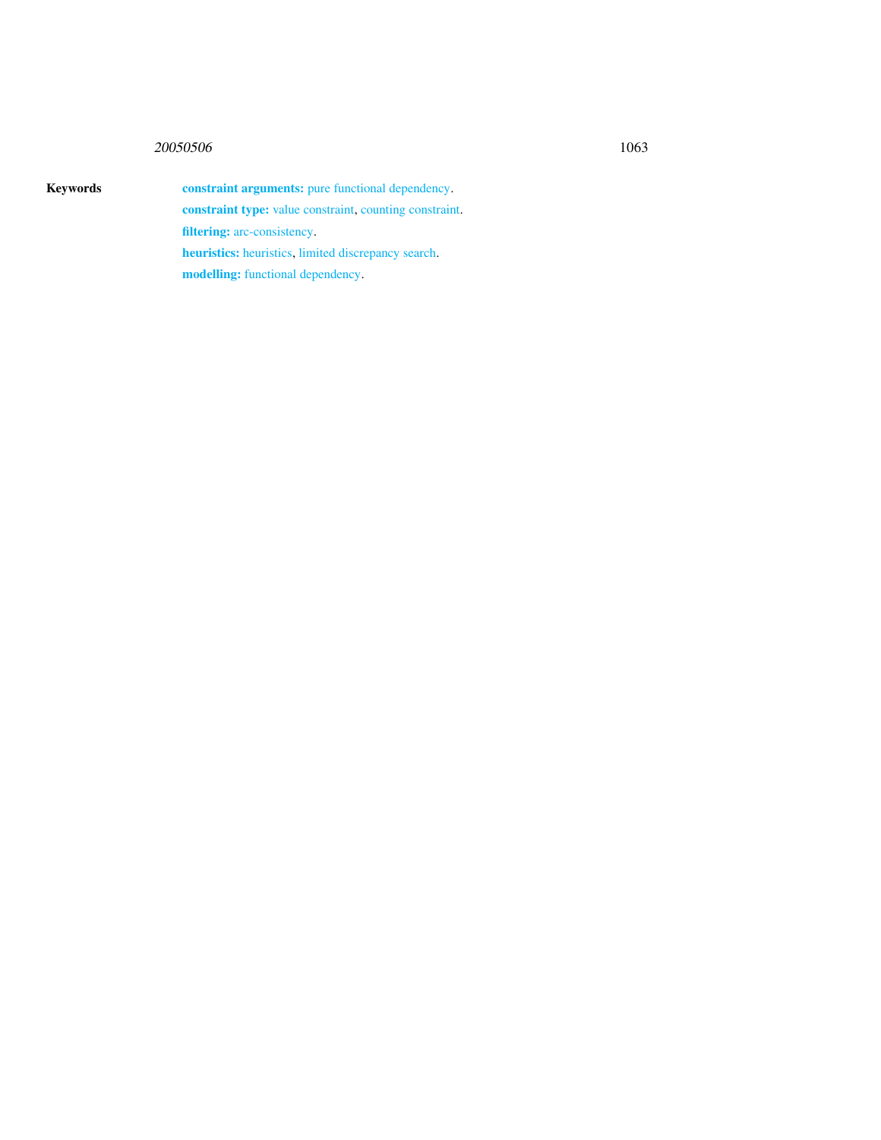## 20050506 1063

Keywords constraint arguments: pure functional dependency. constraint type: value constraint, counting constraint. filtering: arc-consistency. heuristics: heuristics, limited discrepancy search.

modelling: functional dependency.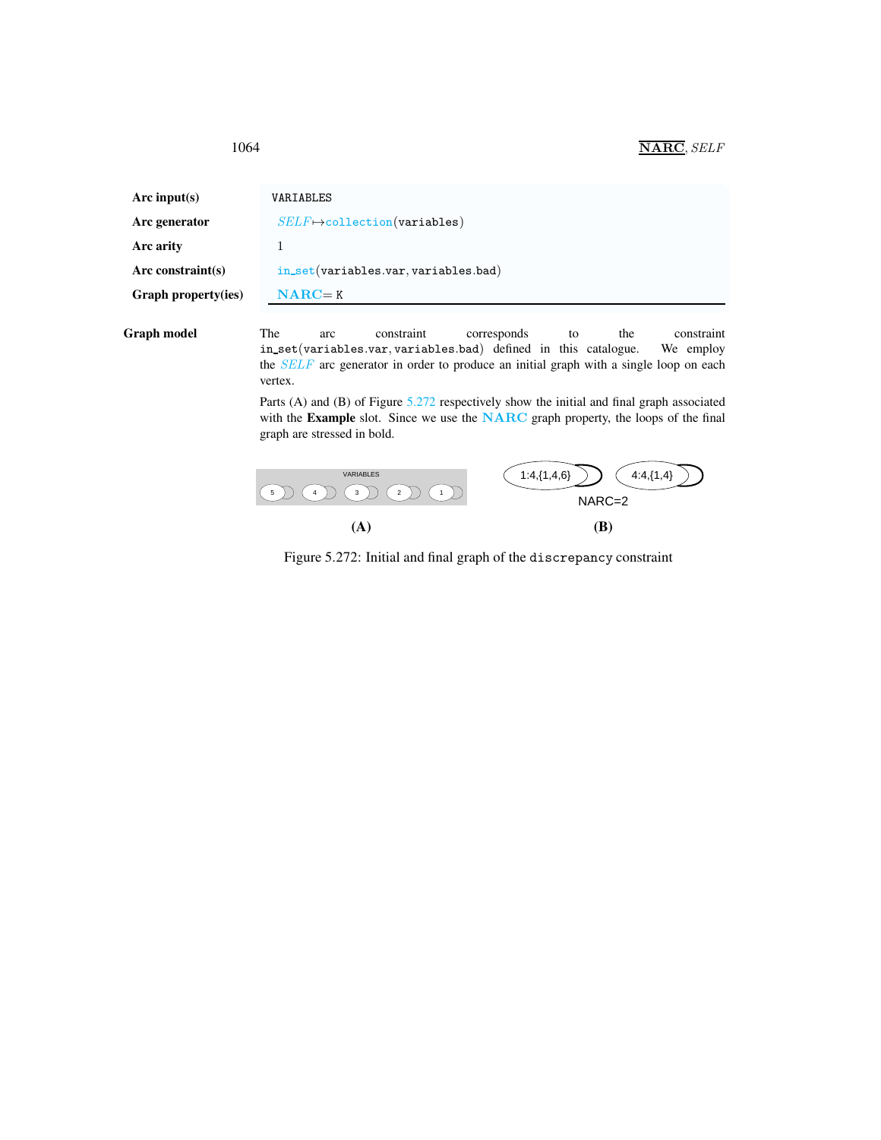| Arc input( $s$ )    | VARIABLES                              |     |            |             |    |     |            |  |  |
|---------------------|----------------------------------------|-----|------------|-------------|----|-----|------------|--|--|
| Arc generator       | $SELF \mapsto$ collection(variables)   |     |            |             |    |     |            |  |  |
| Arc arity           |                                        |     |            |             |    |     |            |  |  |
| Arc constraint(s)   | $in_set(variables.var, variables.bad)$ |     |            |             |    |     |            |  |  |
| Graph property(ies) | $NARC = K$                             |     |            |             |    |     |            |  |  |
| Graph model         | The                                    | arc | constraint | corresponds | to | the | constraint |  |  |

<span id="page-2-0"></span>in set(variables.var, variables.bad) defined in this catalogue. We employ the SELF arc generator in order to produce an initial graph with a single loop on each vertex.

Parts (A) and (B) of Figure [5.272](#page-2-1) respectively show the initial and final graph associated with the Example slot. Since we use the NARC graph property, the loops of the final graph are stressed in bold.



<span id="page-2-1"></span>Figure 5.272: Initial and final graph of the discrepancy constraint